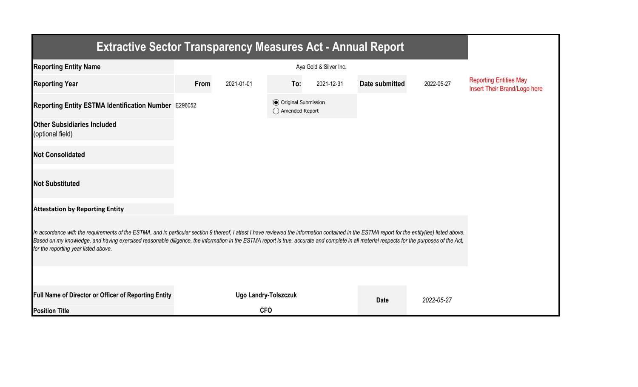| <b>Extractive Sector Transparency Measures Act - Annual Report</b>                                                                                                                                                                                                                                                                                                                                                                    |      |                             |                                                  |            |                |            |                                                               |  |  |  |
|---------------------------------------------------------------------------------------------------------------------------------------------------------------------------------------------------------------------------------------------------------------------------------------------------------------------------------------------------------------------------------------------------------------------------------------|------|-----------------------------|--------------------------------------------------|------------|----------------|------------|---------------------------------------------------------------|--|--|--|
| <b>Reporting Entity Name</b>                                                                                                                                                                                                                                                                                                                                                                                                          |      |                             |                                                  |            |                |            |                                                               |  |  |  |
| <b>Reporting Year</b>                                                                                                                                                                                                                                                                                                                                                                                                                 | From | 2021-01-01                  | To:                                              | 2021-12-31 | Date submitted | 2022-05-27 | <b>Reporting Entities May</b><br>Insert Their Brand/Logo here |  |  |  |
| Reporting Entity ESTMA Identification Number E296052                                                                                                                                                                                                                                                                                                                                                                                  |      |                             | <b>◎</b> Original Submission<br>◯ Amended Report |            |                |            |                                                               |  |  |  |
| <b>Other Subsidiaries Included</b><br>(optional field)                                                                                                                                                                                                                                                                                                                                                                                |      |                             |                                                  |            |                |            |                                                               |  |  |  |
| <b>Not Consolidated</b>                                                                                                                                                                                                                                                                                                                                                                                                               |      |                             |                                                  |            |                |            |                                                               |  |  |  |
| <b>Not Substituted</b>                                                                                                                                                                                                                                                                                                                                                                                                                |      |                             |                                                  |            |                |            |                                                               |  |  |  |
| <b>Attestation by Reporting Entity</b>                                                                                                                                                                                                                                                                                                                                                                                                |      |                             |                                                  |            |                |            |                                                               |  |  |  |
| In accordance with the requirements of the ESTMA, and in particular section 9 thereof, I attest I have reviewed the information contained in the ESTMA report for the entity(ies) listed above.<br>Based on my knowledge, and having exercised reasonable diligence, the information in the ESTMA report is true, accurate and complete in all material respects for the purposes of the Act,<br>for the reporting year listed above. |      |                             |                                                  |            |                |            |                                                               |  |  |  |
|                                                                                                                                                                                                                                                                                                                                                                                                                                       |      |                             |                                                  |            |                |            |                                                               |  |  |  |
| Full Name of Director or Officer of Reporting Entity                                                                                                                                                                                                                                                                                                                                                                                  |      | <b>Ugo Landry-Tolszczuk</b> |                                                  |            | <b>Date</b>    | 2022-05-27 |                                                               |  |  |  |
| <b>Position Title</b>                                                                                                                                                                                                                                                                                                                                                                                                                 |      | <b>CFO</b>                  |                                                  |            |                |            |                                                               |  |  |  |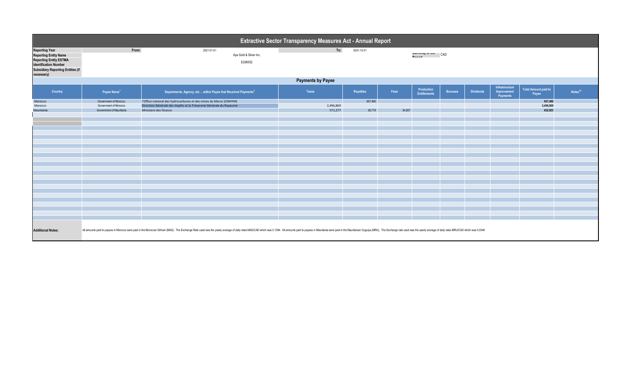| Extractive Sector Transparency Measures Act - Annual Report                                                                                                                                                                                                |                                                          |                                                                                             |                      |            |                    |                                   |                |                  |                                           |                                      |                     |
|------------------------------------------------------------------------------------------------------------------------------------------------------------------------------------------------------------------------------------------------------------|----------------------------------------------------------|---------------------------------------------------------------------------------------------|----------------------|------------|--------------------|-----------------------------------|----------------|------------------|-------------------------------------------|--------------------------------------|---------------------|
| <b>Reporting Year</b><br><b>Reporting Entity Name</b><br><b>Reporting Entity ESTMA</b><br>Identification Number<br><b>Subsidiary Reporting Entities (if</b><br>necessary)                                                                                  | From:<br>2021-01-01<br>Aya Gold & Silver Inc.<br>E296052 |                                                                                             | To:                  | 2021-12-31 | CAD CAD<br>$B = 1$ |                                   |                |                  |                                           |                                      |                     |
| <b>Payments by Payee</b>                                                                                                                                                                                                                                   |                                                          |                                                                                             |                      |            |                    |                                   |                |                  |                                           |                                      |                     |
| Country                                                                                                                                                                                                                                                    | Payee Name <sup>1</sup>                                  | Departments, Agency, etc within Payee that Received Payments <sup>2</sup>                   | Taxes                | Royalties  | Fees               | Production<br><b>Entitlements</b> | <b>Bonuses</b> | <b>Dividends</b> | Infrastructure<br>Improvement<br>Payments | <b>Total Amount paid to</b><br>Payee | Notes <sup>34</sup> |
| Morocco                                                                                                                                                                                                                                                    | Government of Morocco                                    | l'Office national des hydrocarbures et des mines du Maroc (ONHYM)                           |                      | 657,480    |                    |                                   |                |                  |                                           | 657,480                              |                     |
| Morocco<br>Mauritania                                                                                                                                                                                                                                      | Government of Morocco<br>Government of Mauritania        | Direction Générale des Impôts et la Trésorerie Générale du Royaume<br>Ministere des finance | 2,496,869<br>571,277 | 26,719     | 34,927             |                                   |                |                  |                                           | 2,496,869<br>632,923                 |                     |
|                                                                                                                                                                                                                                                            |                                                          |                                                                                             |                      |            |                    |                                   |                |                  |                                           |                                      |                     |
|                                                                                                                                                                                                                                                            |                                                          |                                                                                             |                      |            |                    |                                   |                |                  |                                           |                                      |                     |
|                                                                                                                                                                                                                                                            |                                                          |                                                                                             |                      |            |                    |                                   |                |                  |                                           |                                      |                     |
|                                                                                                                                                                                                                                                            |                                                          |                                                                                             |                      |            |                    |                                   |                |                  |                                           |                                      |                     |
|                                                                                                                                                                                                                                                            |                                                          |                                                                                             |                      |            |                    |                                   |                |                  |                                           |                                      |                     |
|                                                                                                                                                                                                                                                            |                                                          |                                                                                             |                      |            |                    |                                   |                |                  |                                           |                                      |                     |
|                                                                                                                                                                                                                                                            |                                                          |                                                                                             |                      |            |                    |                                   |                |                  |                                           |                                      |                     |
|                                                                                                                                                                                                                                                            |                                                          |                                                                                             |                      |            |                    |                                   |                |                  |                                           |                                      |                     |
|                                                                                                                                                                                                                                                            |                                                          |                                                                                             |                      |            |                    |                                   |                |                  |                                           |                                      |                     |
|                                                                                                                                                                                                                                                            |                                                          |                                                                                             |                      |            |                    |                                   |                |                  |                                           |                                      |                     |
|                                                                                                                                                                                                                                                            |                                                          |                                                                                             |                      |            |                    |                                   |                |                  |                                           |                                      |                     |
|                                                                                                                                                                                                                                                            |                                                          |                                                                                             |                      |            |                    |                                   |                |                  |                                           |                                      |                     |
|                                                                                                                                                                                                                                                            |                                                          |                                                                                             |                      |            |                    |                                   |                |                  |                                           |                                      |                     |
|                                                                                                                                                                                                                                                            |                                                          |                                                                                             |                      |            |                    |                                   |                |                  |                                           |                                      |                     |
|                                                                                                                                                                                                                                                            |                                                          |                                                                                             |                      |            |                    |                                   |                |                  |                                           |                                      |                     |
|                                                                                                                                                                                                                                                            |                                                          |                                                                                             |                      |            |                    |                                   |                |                  |                                           |                                      |                     |
|                                                                                                                                                                                                                                                            |                                                          |                                                                                             |                      |            |                    |                                   |                |                  |                                           |                                      |                     |
|                                                                                                                                                                                                                                                            |                                                          |                                                                                             |                      |            |                    |                                   |                |                  |                                           |                                      |                     |
|                                                                                                                                                                                                                                                            |                                                          |                                                                                             |                      |            |                    |                                   |                |                  |                                           |                                      |                     |
|                                                                                                                                                                                                                                                            |                                                          |                                                                                             |                      |            |                    |                                   |                |                  |                                           |                                      |                     |
|                                                                                                                                                                                                                                                            |                                                          |                                                                                             |                      |            |                    |                                   |                |                  |                                           |                                      |                     |
| All amounts paid to payees in Morocco were paid in the Moroccan Dirham (MAD). The Exchange Rate used was the yearly average of daily rates MADICAD which was 0.1344. All amounts paid to payees in Mauritania were paid in the<br><b>Additional Notes:</b> |                                                          |                                                                                             |                      |            |                    |                                   |                |                  |                                           |                                      |                     |